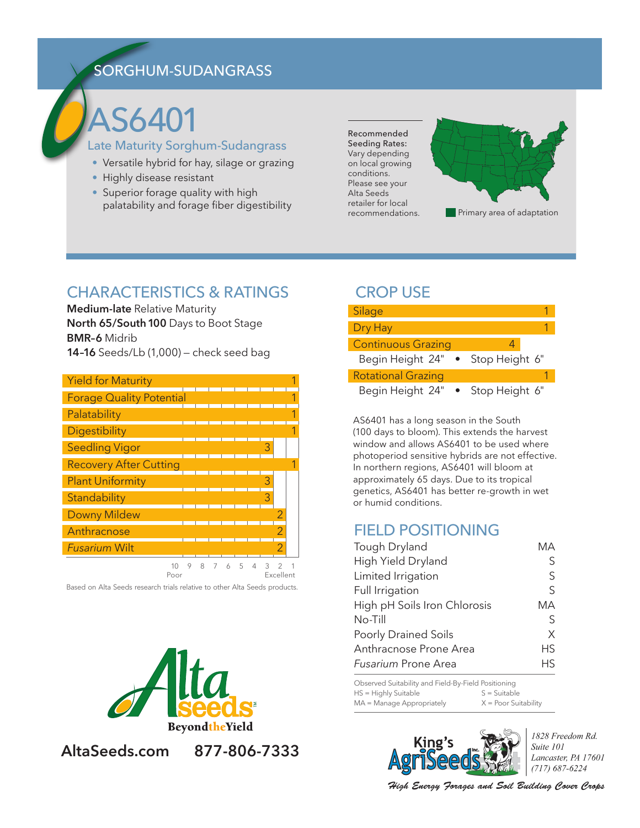# SORGHUM-SUDANGRASS

# AS6401

#### Late Maturity Sorghum-Sudangrass

- Versatile hybrid for hay, silage or grazing
- Highly disease resistant
- Superior forage quality with high palatability and forage fiber digestibility

Recommended Seeding Rates: Vary depending on local growing conditions. Please see your Alta Seeds retailer for local recommendations.



## CHARACTERISTICS & RATINGS

**Medium-late** Relative Maturity **North 65/South 100** Days to Boot Stage **BMR–6** Midrib **14–16** Seeds/Lb (1,000) — check seed bag

| <b>Yield for Maturity</b>       |        |          |                |            |        |   |           |  |
|---------------------------------|--------|----------|----------------|------------|--------|---|-----------|--|
| <b>Forage Quality Potential</b> |        |          |                |            |        |   |           |  |
| Palatability                    |        |          |                |            |        |   |           |  |
| Digestibility                   |        |          |                |            |        |   |           |  |
| <b>Seedling Vigor</b>           |        |          |                |            |        | 3 |           |  |
| <b>Recovery After Cutting</b>   |        |          |                |            |        |   |           |  |
| <b>Plant Uniformity</b>         |        |          |                |            |        |   |           |  |
| Standability                    |        |          |                |            |        |   |           |  |
| <b>Downy Mildew</b>             |        |          |                |            |        |   |           |  |
| Anthracnose                     |        |          |                |            |        |   |           |  |
| <b>Fusarium Wilt</b>            |        |          |                |            |        |   |           |  |
| $1^{\circ}$                     | $\cap$ | $\Omega$ | $\overline{ }$ | $\sqrt{2}$ | $\Box$ | ◠ | $\bigcap$ |  |

10 9 8 7 6 5 4 3 2 1<br>Poor Fxcellent **Fxcellent** 

Based on Alta Seeds research trials relative to other Alta Seeds products.



## **AltaSeeds.com 877-806-7333**

## CROP USE



AS6401 has a long season in the South (100 days to bloom). This extends the harvest window and allows AS6401 to be used where photoperiod sensitive hybrids are not effective. In northern regions, AS6401 will bloom at approximately 65 days. Due to its tropical genetics, AS6401 has better re-growth in wet or humid conditions.

## FIELD POSITIONING

| Tough Dryland                | MА        |
|------------------------------|-----------|
| High Yield Dryland           | S         |
| Limited Irrigation           | S         |
| Full Irrigation              | S         |
| High pH Soils Iron Chlorosis | MА        |
| $No-Till$                    | S         |
| <b>Poorly Drained Soils</b>  | X         |
| Anthracnose Prone Area       | <b>HS</b> |
| <b>Fusarium Prone Area</b>   | Hς        |

Observed Suitability and Field-By-Field Positioning  $HS = Highly$  Suitable  $S = S$ uitable  $MA =$ Manage Appropriately  $X =$  Poor Suitability



1828 Freedom Rd. Suite 101 Lancaster, PA 17601  $(717) 687 - 6224$ 

High Energy Forages and Soil Building Cover Crops